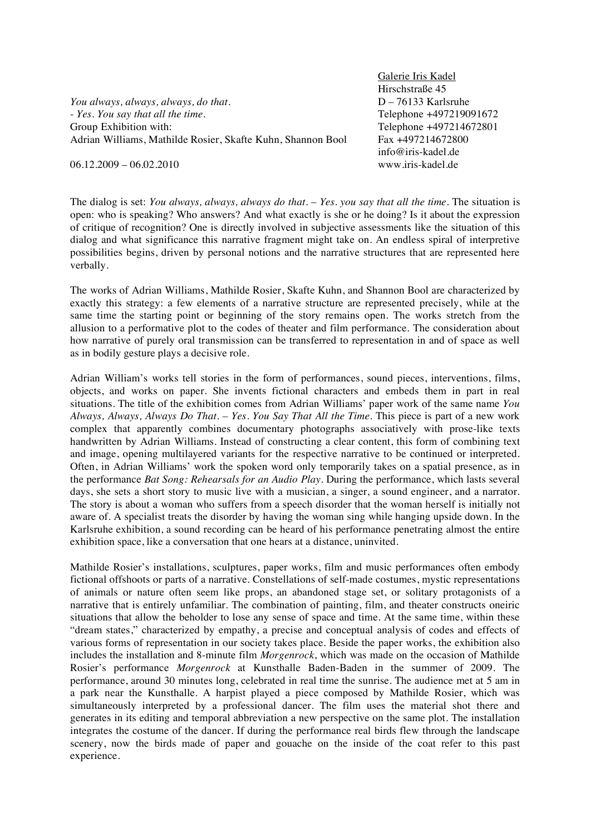*You always, always, always, do that. - Yes. You say that all the time.* Group Exhibition with: Adrian Williams, Mathilde Rosier, Skafte Kuhn, Shannon Bool Galerie Iris Kadel Hirschstraße 45 D – 76133 Karlsruhe Telephone +497219091672 Telephone +497214672801 Fax +497214672800 info@iris-kadel.de www.iris-kadel.de

 $06.12.2009 - 06.02.2010$ 

The dialog is set: *You always, always, always do that. – Yes. you say that all the time.* The situation is open: who is speaking? Who answers? And what exactly is she or he doing? Is it about the expression of critique of recognition? One is directly involved in subjective assessments like the situation of this dialog and what significance this narrative fragment might take on. An endless spiral of interpretive possibilities begins, driven by personal notions and the narrative structures that are represented here verbally.

The works of Adrian Williams, Mathilde Rosier, Skafte Kuhn, and Shannon Bool are characterized by exactly this strategy: a few elements of a narrative structure are represented precisely, while at the same time the starting point or beginning of the story remains open. The works stretch from the allusion to a performative plot to the codes of theater and film performance. The consideration about how narrative of purely oral transmission can be transferred to representation in and of space as well as in bodily gesture plays a decisive role.

Adrian William's works tell stories in the form of performances, sound pieces, interventions, films, objects, and works on paper. She invents fictional characters and embeds them in part in real situations. The title of the exhibition comes from Adrian Williams' paper work of the same name *You Always, Always, Always Do That. – Yes. You Say That All the Time.* This piece is part of a new work complex that apparently combines documentary photographs associatively with prose-like texts handwritten by Adrian Williams. Instead of constructing a clear content, this form of combining text and image, opening multilayered variants for the respective narrative to be continued or interpreted. Often, in Adrian Williams' work the spoken word only temporarily takes on a spatial presence, as in the performance *Bat Song: Rehearsals for an Audio Play*. During the performance, which lasts several days, she sets a short story to music live with a musician, a singer, a sound engineer, and a narrator. The story is about a woman who suffers from a speech disorder that the woman herself is initially not aware of. A specialist treats the disorder by having the woman sing while hanging upside down. In the Karlsruhe exhibition, a sound recording can be heard of his performance penetrating almost the entire exhibition space, like a conversation that one hears at a distance, uninvited.

Mathilde Rosier's installations, sculptures, paper works, film and music performances often embody fictional offshoots or parts of a narrative. Constellations of self-made costumes, mystic representations of animals or nature often seem like props, an abandoned stage set, or solitary protagonists of a narrative that is entirely unfamiliar. The combination of painting, film, and theater constructs oneiric situations that allow the beholder to lose any sense of space and time. At the same time, within these "dream states," characterized by empathy, a precise and conceptual analysis of codes and effects of various forms of representation in our society takes place. Beside the paper works, the exhibition also includes the installation and 8-minute film *Morgenrock*, which was made on the occasion of Mathilde Rosier's performance *Morgenrock* at Kunsthalle Baden-Baden in the summer of 2009. The performance, around 30 minutes long, celebrated in real time the sunrise. The audience met at 5 am in a park near the Kunsthalle. A harpist played a piece composed by Mathilde Rosier, which was simultaneously interpreted by a professional dancer. The film uses the material shot there and generates in its editing and temporal abbreviation a new perspective on the same plot. The installation integrates the costume of the dancer. If during the performance real birds flew through the landscape scenery, now the birds made of paper and gouache on the inside of the coat refer to this past experience.